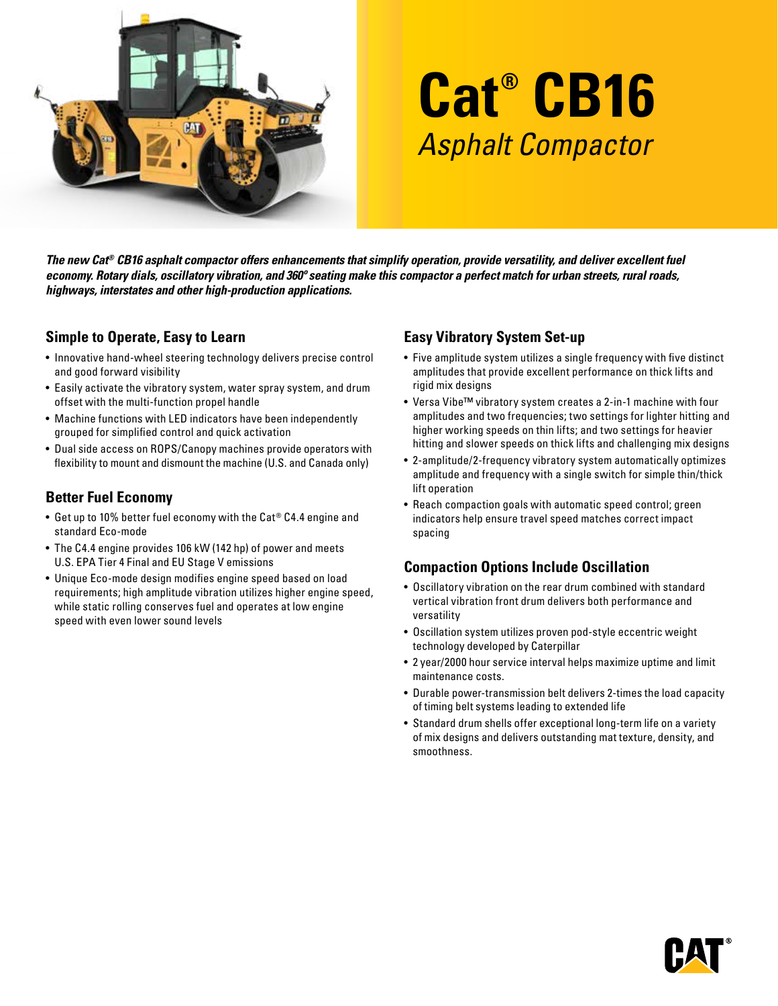

# **Cat® CB16** Asphalt Compactor

*The new Cat® CB16 asphalt compactor offers enhancements that simplify operation, provide versatility, and deliver excellent fuel economy. Rotary dials, oscillatory vibration, and 360º seating make this compactor a perfect match for urban streets, rural roads, highways, interstates and other high-production applications.* 

### **Simple to Operate, Easy to Learn**

- Innovative hand-wheel steering technology delivers precise control and good forward visibility
- Easily activate the vibratory system, water spray system, and drum offset with the multi-function propel handle
- Machine functions with LED indicators have been independently grouped for simplified control and quick activation
- Dual side access on ROPS/Canopy machines provide operators with flexibility to mount and dismount the machine (U.S. and Canada only)

## **Better Fuel Economy**

- Get up to 10% better fuel economy with the Cat® C4.4 engine and standard Eco-mode
- The C4.4 engine provides 106 kW (142 hp) of power and meets U.S. EPA Tier 4 Final and EU Stage V emissions
- Unique Eco-mode design modifies engine speed based on load requirements; high amplitude vibration utilizes higher engine speed, while static rolling conserves fuel and operates at low engine speed with even lower sound levels

### **Easy Vibratory System Set-up**

- Five amplitude system utilizes a single frequency with five distinct amplitudes that provide excellent performance on thick lifts and rigid mix designs
- Versa Vibe™ vibratory system creates a 2-in-1 machine with four amplitudes and two frequencies; two settings for lighter hitting and higher working speeds on thin lifts; and two settings for heavier hitting and slower speeds on thick lifts and challenging mix designs
- 2-amplitude/2-frequency vibratory system automatically optimizes amplitude and frequency with a single switch for simple thin/thick lift operation
- Reach compaction goals with automatic speed control; green indicators help ensure travel speed matches correct impact spacing

### **Compaction Options Include Oscillation**

- Oscillatory vibration on the rear drum combined with standard vertical vibration front drum delivers both performance and versatility
- Oscillation system utilizes proven pod-style eccentric weight technology developed by Caterpillar
- 2 year/2000 hour service interval helps maximize uptime and limit maintenance costs.
- Durable power-transmission belt delivers 2-times the load capacity of timing belt systems leading to extended life
- Standard drum shells offer exceptional long-term life on a variety of mix designs and delivers outstanding mat texture, density, and smoothness.

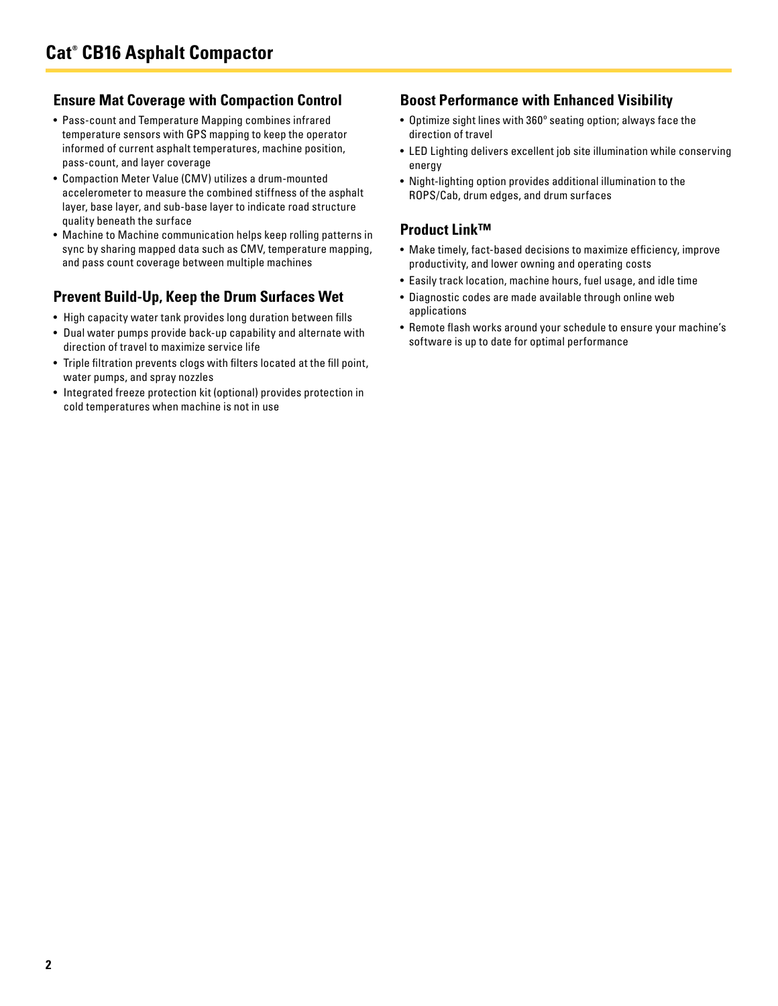#### **Ensure Mat Coverage with Compaction Control**

- Pass-count and Temperature Mapping combines infrared temperature sensors with GPS mapping to keep the operator informed of current asphalt temperatures, machine position, pass-count, and layer coverage
- Compaction Meter Value (CMV) utilizes a drum-mounted accelerometer to measure the combined stiffness of the asphalt layer, base layer, and sub-base layer to indicate road structure quality beneath the surface
- Machine to Machine communication helps keep rolling patterns in sync by sharing mapped data such as CMV, temperature mapping, and pass count coverage between multiple machines

### **Prevent Build-Up, Keep the Drum Surfaces Wet**

- High capacity water tank provides long duration between fills
- Dual water pumps provide back-up capability and alternate with direction of travel to maximize service life
- Triple filtration prevents clogs with filters located at the fill point, water pumps, and spray nozzles
- Integrated freeze protection kit (optional) provides protection in cold temperatures when machine is not in use

#### **Boost Performance with Enhanced Visibility**

- Optimize sight lines with 360º seating option; always face the direction of travel
- LED Lighting delivers excellent job site illumination while conserving energy
- Night-lighting option provides additional illumination to the ROPS/Cab, drum edges, and drum surfaces

### **Product Link™**

- Make timely, fact-based decisions to maximize efficiency, improve productivity, and lower owning and operating costs
- Easily track location, machine hours, fuel usage, and idle time
- Diagnostic codes are made available through online web applications
- Remote flash works around your schedule to ensure your machine's software is up to date for optimal performance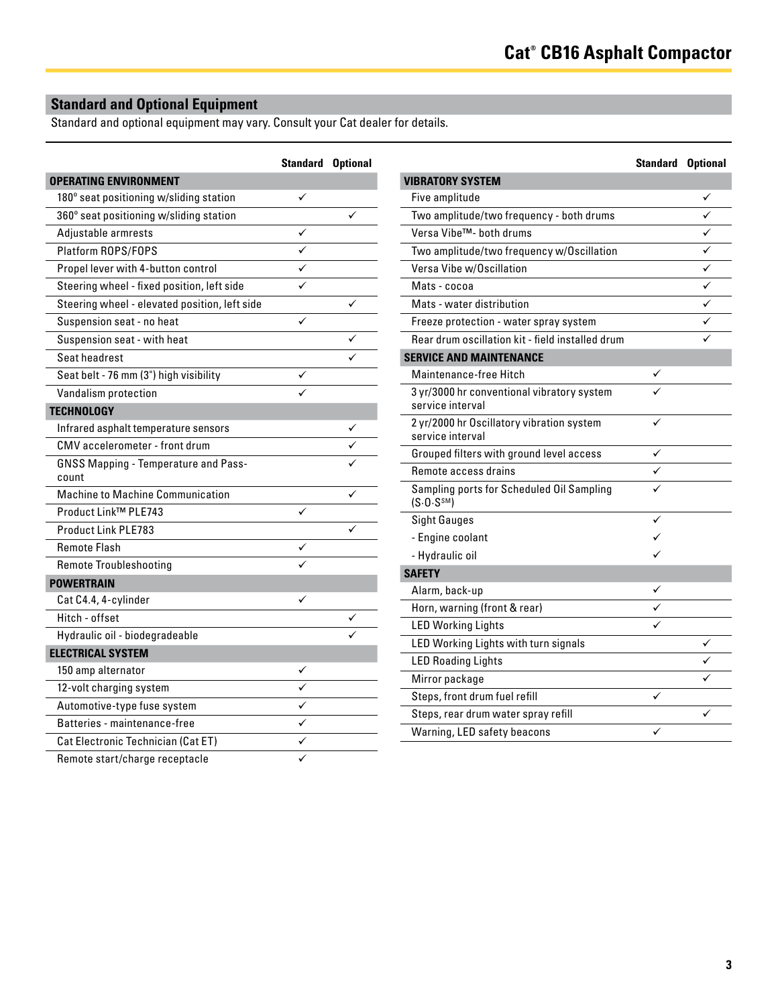# **Standard and Optional Equipment**

Standard and optional equipment may vary. Consult your Cat dealer for details.

|                                                      | <b>Standard Optional</b> |  |
|------------------------------------------------------|--------------------------|--|
| <b>OPERATING ENVIRONMENT</b>                         |                          |  |
| 180° seat positioning w/sliding station              | ✓                        |  |
| 360° seat positioning w/sliding station              |                          |  |
| Adjustable armrests                                  |                          |  |
| Platform ROPS/FOPS                                   | ✓                        |  |
| Propel lever with 4-button control                   | ✓                        |  |
| Steering wheel - fixed position, left side           |                          |  |
| Steering wheel - elevated position, left side        |                          |  |
| Suspension seat - no heat                            |                          |  |
| Suspension seat - with heat                          |                          |  |
| Seat headrest                                        |                          |  |
| Seat belt - 76 mm (3") high visibility               |                          |  |
| Vandalism protection                                 |                          |  |
| <b>TECHNOLOGY</b>                                    |                          |  |
| Infrared asphalt temperature sensors                 |                          |  |
| CMV accelerometer - front drum                       |                          |  |
| <b>GNSS Mapping - Temperature and Pass-</b><br>count |                          |  |
| <b>Machine to Machine Communication</b>              |                          |  |
| Product Link™ PLE743                                 | ✓                        |  |
| Product Link PLE783                                  |                          |  |
| <b>Remote Flash</b>                                  |                          |  |
| <b>Remote Troubleshooting</b>                        |                          |  |
| <b>POWERTRAIN</b>                                    |                          |  |
| Cat C4.4, 4-cylinder                                 | ✓                        |  |
| Hitch - offset                                       |                          |  |
| Hydraulic oil - biodegradeable                       |                          |  |
| <b>ELECTRICAL SYSTEM</b>                             |                          |  |
| 150 amp alternator                                   |                          |  |
| 12-volt charging system                              |                          |  |
| Automotive-type fuse system                          |                          |  |
| Batteries - maintenance-free                         | ✓                        |  |
| Cat Electronic Technician (Cat ET)                   |                          |  |
| Remote start/charge receptacle                       |                          |  |

|                                                                      | <b>Standard Optional</b> |   |
|----------------------------------------------------------------------|--------------------------|---|
| <b>VIBRATORY SYSTEM</b>                                              |                          |   |
| Five amplitude                                                       |                          | ✓ |
| Two amplitude/two frequency - both drums                             |                          |   |
| Versa Vibe™- both drums                                              |                          | ✓ |
| Two amplitude/two frequency w/Oscillation                            |                          | ✓ |
| Versa Vibe w/Oscillation                                             |                          | ✓ |
| Mats - cocoa                                                         |                          |   |
| Mats - water distribution                                            |                          | ✓ |
| Freeze protection - water spray system                               |                          | ✓ |
| Rear drum oscillation kit - field installed drum                     |                          | ✓ |
| <b>SERVICE AND MAINTENANCE</b>                                       |                          |   |
| Maintenance-free Hitch                                               |                          |   |
| 3 yr/3000 hr conventional vibratory system<br>service interval       |                          |   |
| 2 yr/2000 hr Oscillatory vibration system<br>service interval        |                          |   |
| Grouped filters with ground level access                             |                          |   |
| Remote access drains                                                 |                          |   |
| Sampling ports for Scheduled Oil Sampling<br>(S.0. S <sup>SM</sup> ) |                          |   |
| <b>Sight Gauges</b>                                                  | ✓                        |   |
| - Engine coolant                                                     |                          |   |
| - Hydraulic oil                                                      |                          |   |
| <b>SAFETY</b>                                                        |                          |   |
| Alarm, back-up                                                       | ✓                        |   |
| Horn, warning (front & rear)                                         |                          |   |
| <b>LED Working Lights</b>                                            |                          |   |
| LED Working Lights with turn signals                                 |                          |   |
| <b>LED Roading Lights</b>                                            |                          |   |
| Mirror package                                                       |                          |   |
| Steps, front drum fuel refill                                        |                          |   |
| Steps, rear drum water spray refill                                  |                          |   |
| Warning, LED safety beacons                                          |                          |   |